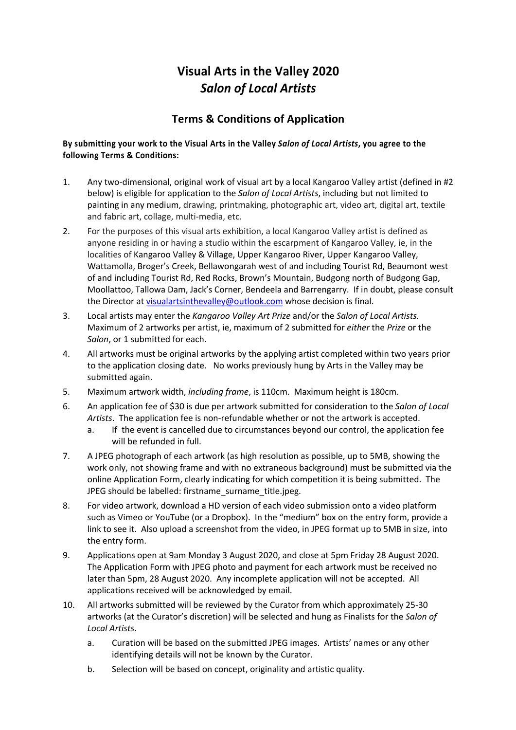## **Visual Arts in the Valley 2020** *Salon of Local Artists*

## **Terms & Conditions of Application**

## **By submitting your work to the Visual Arts in the Valley** *Salon of Local Artists***, you agree to the following Terms & Conditions:**

- 1. Any two-dimensional, original work of visual art by a local Kangaroo Valley artist (defined in #2 below) is eligible for application to the *Salon of Local Artists*, including but not limited to painting in any medium, drawing, printmaking, photographic art, video art, digital art, textile and fabric art, collage, multi-media, etc.
- 2. For the purposes of this visual arts exhibition, a local Kangaroo Valley artist is defined as anyone residing in or having a studio within the escarpment of Kangaroo Valley, ie, in the localities of Kangaroo Valley & Village, Upper Kangaroo River, Upper Kangaroo Valley, Wattamolla, Broger's Creek, Bellawongarah west of and including Tourist Rd, Beaumont west of and including Tourist Rd, Red Rocks, Brown's Mountain, Budgong north of Budgong Gap, Moollattoo, Tallowa Dam, Jack's Corner, Bendeela and Barrengarry. If in doubt, please consult the Director at visualartsinthevalley@outlook.com whose decision is final.
- 3. Local artists may enter the *Kangaroo Valley Art Prize* and/or the *Salon of Local Artists.*  Maximum of 2 artworks per artist, ie, maximum of 2 submitted for *either* the *Prize* or the *Salon*, or 1 submitted for each.
- 4. All artworks must be original artworks by the applying artist completed within two years prior to the application closing date. No works previously hung by Arts in the Valley may be submitted again.
- 5. Maximum artwork width, *including frame*, is 110cm. Maximum height is 180cm.
- 6. An application fee of \$30 is due per artwork submitted for consideration to the *Salon of Local Artists*. The application fee is non-refundable whether or not the artwork is accepted.
	- a. If the event is cancelled due to circumstances beyond our control, the application fee will be refunded in full.
- 7. A JPEG photograph of each artwork (as high resolution as possible, up to 5MB, showing the work only, not showing frame and with no extraneous background) must be submitted via the online Application Form, clearly indicating for which competition it is being submitted. The JPEG should be labelled: firstname\_surname\_title.jpeg.
- 8. For video artwork, download a HD version of each video submission onto a video platform such as Vimeo or YouTube (or a Dropbox). In the "medium" box on the entry form, provide a link to see it. Also upload a screenshot from the video, in JPEG format up to 5MB in size, into the entry form.
- 9. Applications open at 9am Monday 3 August 2020, and close at 5pm Friday 28 August 2020. The Application Form with JPEG photo and payment for each artwork must be received no later than 5pm, 28 August 2020. Any incomplete application will not be accepted. All applications received will be acknowledged by email.
- 10. All artworks submitted will be reviewed by the Curator from which approximately 25-30 artworks (at the Curator's discretion) will be selected and hung as Finalists for the *Salon of Local Artists*.
	- a. Curation will be based on the submitted JPEG images. Artists' names or any other identifying details will not be known by the Curator.
	- b. Selection will be based on concept, originality and artistic quality.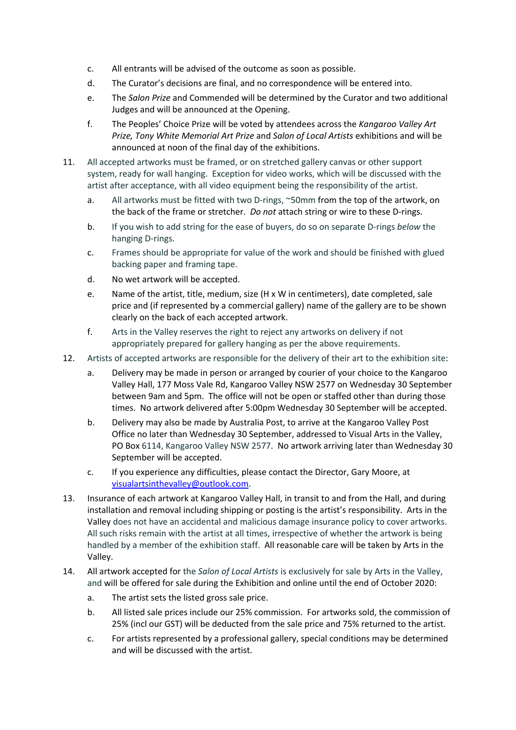- c. All entrants will be advised of the outcome as soon as possible.
- d. The Curator's decisions are final, and no correspondence will be entered into.
- e. The *Salon Prize* and Commended will be determined by the Curator and two additional Judges and will be announced at the Opening.
- f. The Peoples' Choice Prize will be voted by attendees across the *Kangaroo Valley Art Prize, Tony White Memorial Art Prize* and *Salon of Local Artists* exhibitions and will be announced at noon of the final day of the exhibitions.
- 11. All accepted artworks must be framed, or on stretched gallery canvas or other support system, ready for wall hanging. Exception for video works, which will be discussed with the artist after acceptance, with all video equipment being the responsibility of the artist.
	- a. All artworks must be fitted with two D-rings, ~50mm from the top of the artwork, on the back of the frame or stretcher. *Do not* attach string or wire to these D-rings.
	- b. If you wish to add string for the ease of buyers, do so on separate D-rings *below* the hanging D-rings.
	- c. Frames should be appropriate for value of the work and should be finished with glued backing paper and framing tape.
	- d. No wet artwork will be accepted.
	- e. Name of the artist, title, medium, size (H x W in centimeters), date completed, sale price and (if represented by a commercial gallery) name of the gallery are to be shown clearly on the back of each accepted artwork.
	- f. Arts in the Valley reserves the right to reject any artworks on delivery if not appropriately prepared for gallery hanging as per the above requirements.
- 12. Artists of accepted artworks are responsible for the delivery of their art to the exhibition site:
	- a. Delivery may be made in person or arranged by courier of your choice to the Kangaroo Valley Hall, 177 Moss Vale Rd, Kangaroo Valley NSW 2577 on Wednesday 30 September between 9am and 5pm. The office will not be open or staffed other than during those times. No artwork delivered after 5:00pm Wednesday 30 September will be accepted.
	- b. Delivery may also be made by Australia Post, to arrive at the Kangaroo Valley Post Office no later than Wednesday 30 September, addressed to Visual Arts in the Valley, PO Box 6114, Kangaroo Valley NSW 2577. No artwork arriving later than Wednesday 30 September will be accepted.
	- c. If you experience any difficulties, please contact the Director, Gary Moore, at visualartsinthevalley@outlook.com.
- 13. Insurance of each artwork at Kangaroo Valley Hall, in transit to and from the Hall, and during installation and removal including shipping or posting is the artist's responsibility. Arts in the Valley does not have an accidental and malicious damage insurance policy to cover artworks. All such risks remain with the artist at all times, irrespective of whether the artwork is being handled by a member of the exhibition staff. All reasonable care will be taken by Arts in the Valley.
- 14. All artwork accepted for the *Salon of Local Artists* is exclusively for sale by Arts in the Valley, and will be offered for sale during the Exhibition and online until the end of October 2020:
	- a. The artist sets the listed gross sale price.
	- b. All listed sale prices include our 25% commission. For artworks sold, the commission of 25% (incl our GST) will be deducted from the sale price and 75% returned to the artist.
	- c. For artists represented by a professional gallery, special conditions may be determined and will be discussed with the artist.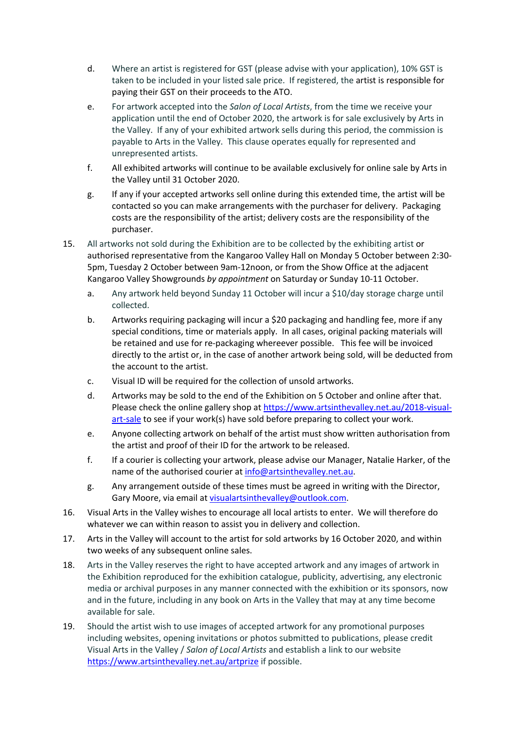- d. Where an artist is registered for GST (please advise with your application), 10% GST is taken to be included in your listed sale price. If registered, the artist is responsible for paying their GST on their proceeds to the ATO.
- e. For artwork accepted into the *Salon of Local Artists*, from the time we receive your application until the end of October 2020, the artwork is for sale exclusively by Arts in the Valley. If any of your exhibited artwork sells during this period, the commission is payable to Arts in the Valley. This clause operates equally for represented and unrepresented artists.
- f. All exhibited artworks will continue to be available exclusively for online sale by Arts in the Valley until 31 October 2020.
- g. If any if your accepted artworks sell online during this extended time, the artist will be contacted so you can make arrangements with the purchaser for delivery. Packaging costs are the responsibility of the artist; delivery costs are the responsibility of the purchaser.
- 15. All artworks not sold during the Exhibition are to be collected by the exhibiting artist or authorised representative from the Kangaroo Valley Hall on Monday 5 October between 2:30- 5pm, Tuesday 2 October between 9am-12noon, or from the Show Office at the adjacent Kangaroo Valley Showgrounds *by appointment* on Saturday or Sunday 10-11 October.
	- a. Any artwork held beyond Sunday 11 October will incur a \$10/day storage charge until collected.
	- b. Artworks requiring packaging will incur a \$20 packaging and handling fee, more if any special conditions, time or materials apply. In all cases, original packing materials will be retained and use for re-packaging whereever possible. This fee will be invoiced directly to the artist or, in the case of another artwork being sold, will be deducted from the account to the artist.
	- c. Visual ID will be required for the collection of unsold artworks.
	- d. Artworks may be sold to the end of the Exhibition on 5 October and online after that. Please check the online gallery shop at https://www.artsinthevalley.net.au/2018-visualart-sale to see if your work(s) have sold before preparing to collect your work.
	- e. Anyone collecting artwork on behalf of the artist must show written authorisation from the artist and proof of their ID for the artwork to be released.
	- f. If a courier is collecting your artwork, please advise our Manager, Natalie Harker, of the name of the authorised courier at info@artsinthevalley.net.au.
	- g. Any arrangement outside of these times must be agreed in writing with the Director, Gary Moore, via email at visualartsinthevalley@outlook.com.
- 16. Visual Arts in the Valley wishes to encourage all local artists to enter. We will therefore do whatever we can within reason to assist you in delivery and collection.
- 17. Arts in the Valley will account to the artist for sold artworks by 16 October 2020, and within two weeks of any subsequent online sales.
- 18. Arts in the Valley reserves the right to have accepted artwork and any images of artwork in the Exhibition reproduced for the exhibition catalogue, publicity, advertising, any electronic media or archival purposes in any manner connected with the exhibition or its sponsors, now and in the future, including in any book on Arts in the Valley that may at any time become available for sale.
- 19. Should the artist wish to use images of accepted artwork for any promotional purposes including websites, opening invitations or photos submitted to publications, please credit Visual Arts in the Valley / *Salon of Local Artists* and establish a link to our website https://www.artsinthevalley.net.au/artprize if possible.